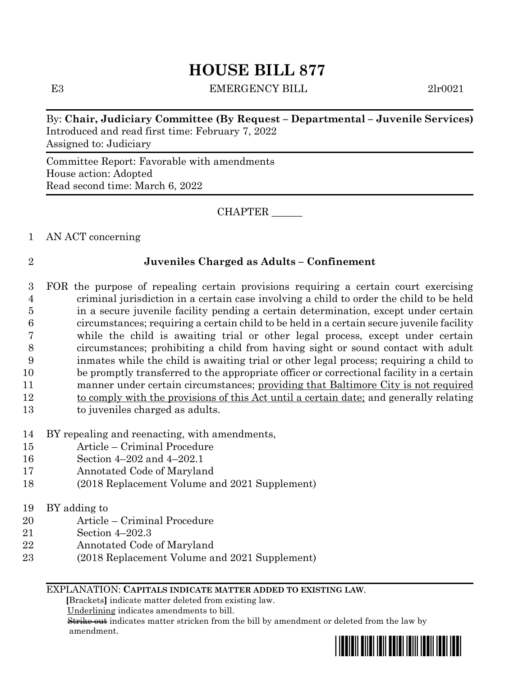# **HOUSE BILL 877**

E3 EMERGENCY BILL 2lr0021

By: **Chair, Judiciary Committee (By Request – Departmental – Juvenile Services)** Introduced and read first time: February 7, 2022 Assigned to: Judiciary

Committee Report: Favorable with amendments House action: Adopted Read second time: March 6, 2022

CHAPTER \_\_\_\_\_\_

1 AN ACT concerning

## 2 **Juveniles Charged as Adults – Confinement**

- 3 FOR the purpose of repealing certain provisions requiring a certain court exercising 4 criminal jurisdiction in a certain case involving a child to order the child to be held 5 in a secure juvenile facility pending a certain determination, except under certain 6 circumstances; requiring a certain child to be held in a certain secure juvenile facility 7 while the child is awaiting trial or other legal process, except under certain 8 circumstances; prohibiting a child from having sight or sound contact with adult 9 inmates while the child is awaiting trial or other legal process; requiring a child to 10 be promptly transferred to the appropriate officer or correctional facility in a certain 11 manner under certain circumstances; providing that Baltimore City is not required 12 to comply with the provisions of this Act until a certain date; and generally relating 13 to juveniles charged as adults.
- 14 BY repealing and reenacting, with amendments,
- 15 Article Criminal Procedure
- 16 Section 4–202 and 4–202.1
- 17 Annotated Code of Maryland
- 18 (2018 Replacement Volume and 2021 Supplement)
- 19 BY adding to
- 20 Article Criminal Procedure
- 21 Section 4–202.3
- 22 Annotated Code of Maryland
- 23 (2018 Replacement Volume and 2021 Supplement)

#### EXPLANATION: **CAPITALS INDICATE MATTER ADDED TO EXISTING LAW**.

 **[**Brackets**]** indicate matter deleted from existing law.

Underlining indicates amendments to bill.

 Strike out indicates matter stricken from the bill by amendment or deleted from the law by amendment.

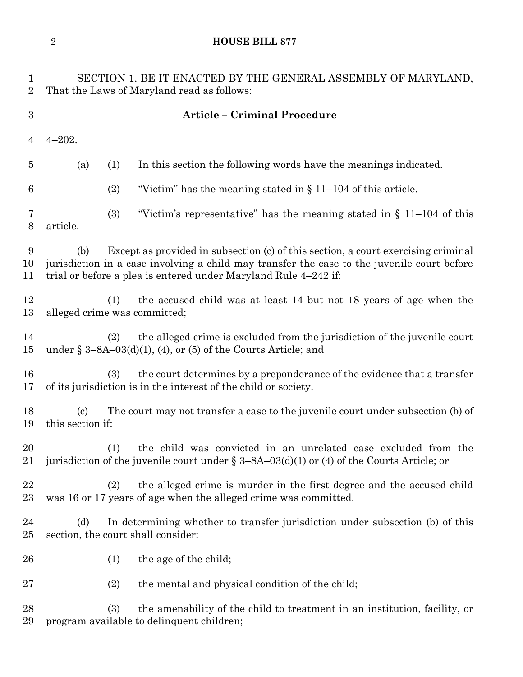# **HOUSE BILL 877**

| 1<br>$\overline{2}$ | SECTION 1. BE IT ENACTED BY THE GENERAL ASSEMBLY OF MARYLAND,<br>That the Laws of Maryland read as follows:                                                                                                                                                |  |  |  |  |  |
|---------------------|------------------------------------------------------------------------------------------------------------------------------------------------------------------------------------------------------------------------------------------------------------|--|--|--|--|--|
| $\boldsymbol{3}$    | <b>Article - Criminal Procedure</b>                                                                                                                                                                                                                        |  |  |  |  |  |
| $\overline{4}$      | $4 - 202.$                                                                                                                                                                                                                                                 |  |  |  |  |  |
| $\overline{5}$      | In this section the following words have the meanings indicated.<br>(a)<br>(1)                                                                                                                                                                             |  |  |  |  |  |
| 6                   | (2)<br>"Victim" has the meaning stated in $\S 11-104$ of this article.                                                                                                                                                                                     |  |  |  |  |  |
| 7<br>$8\,$          | (3)<br>"Victim's representative" has the meaning stated in $\S$ 11–104 of this<br>article.                                                                                                                                                                 |  |  |  |  |  |
| 9<br>10<br>11       | Except as provided in subsection (c) of this section, a court exercising criminal<br>(b)<br>jurisdiction in a case involving a child may transfer the case to the juvenile court before<br>trial or before a plea is entered under Maryland Rule 4–242 if: |  |  |  |  |  |
| 12<br>13            | the accused child was at least 14 but not 18 years of age when the<br>(1)<br>alleged crime was committed;                                                                                                                                                  |  |  |  |  |  |
| 14<br>15            | the alleged crime is excluded from the jurisdiction of the juvenile court<br>(2)<br>under § $3-8A-03(d)(1)$ , (4), or (5) of the Courts Article; and                                                                                                       |  |  |  |  |  |
| 16<br>17            | the court determines by a preponderance of the evidence that a transfer<br>(3)<br>of its jurisdiction is in the interest of the child or society.                                                                                                          |  |  |  |  |  |
| 18<br>19            | The court may not transfer a case to the juvenile court under subsection (b) of<br>$\left( \text{c} \right)$<br>this section if:                                                                                                                           |  |  |  |  |  |
| 20<br>21            | the child was convicted in an unrelated case excluded from the<br>(1)<br>jurisdiction of the juvenile court under § 3-8A-03(d)(1) or (4) of the Courts Article; or                                                                                         |  |  |  |  |  |
| 22<br>$23\,$        | the alleged crime is murder in the first degree and the accused child<br>(2)<br>was 16 or 17 years of age when the alleged crime was committed.                                                                                                            |  |  |  |  |  |
| 24<br>$25\,$        | In determining whether to transfer jurisdiction under subsection (b) of this<br>(d)<br>section, the court shall consider:                                                                                                                                  |  |  |  |  |  |
| 26                  | the age of the child;<br>(1)                                                                                                                                                                                                                               |  |  |  |  |  |
| $27\,$              | the mental and physical condition of the child;<br>(2)                                                                                                                                                                                                     |  |  |  |  |  |
| 28<br>29            | the amenability of the child to treatment in an institution, facility, or<br>(3)<br>program available to delinquent children;                                                                                                                              |  |  |  |  |  |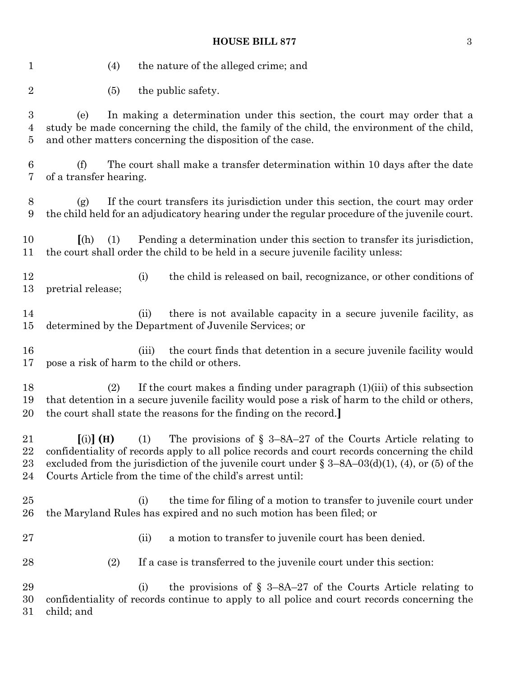### **HOUSE BILL 877** 3

 (4) the nature of the alleged crime; and 2 (5) the public safety. (e) In making a determination under this section, the court may order that a study be made concerning the child, the family of the child, the environment of the child, and other matters concerning the disposition of the case. (f) The court shall make a transfer determination within 10 days after the date of a transfer hearing. (g) If the court transfers its jurisdiction under this section, the court may order the child held for an adjudicatory hearing under the regular procedure of the juvenile court. **[**(h) (1) Pending a determination under this section to transfer its jurisdiction, the court shall order the child to be held in a secure juvenile facility unless: 12 (i) the child is released on bail, recognizance, or other conditions of pretrial release; (ii) there is not available capacity in a secure juvenile facility, as determined by the Department of Juvenile Services; or 16 (iii) the court finds that detention in a secure juvenile facility would pose a risk of harm to the child or others. (2) If the court makes a finding under paragraph (1)(iii) of this subsection that detention in a secure juvenile facility would pose a risk of harm to the child or others, the court shall state the reasons for the finding on the record.**] [**(i)**] (H)** (1) The provisions of § 3–8A–27 of the Courts Article relating to confidentiality of records apply to all police records and court records concerning the child 23 excluded from the jurisdiction of the juvenile court under  $\S 3-8A-03(d)(1)$ , (4), or (5) of the Courts Article from the time of the child's arrest until: (i) the time for filing of a motion to transfer to juvenile court under the Maryland Rules has expired and no such motion has been filed; or (ii) a motion to transfer to juvenile court has been denied. (2) If a case is transferred to the juvenile court under this section: 29 (i) the provisions of  $\S$  3–8A–27 of the Courts Article relating to confidentiality of records continue to apply to all police and court records concerning the child; and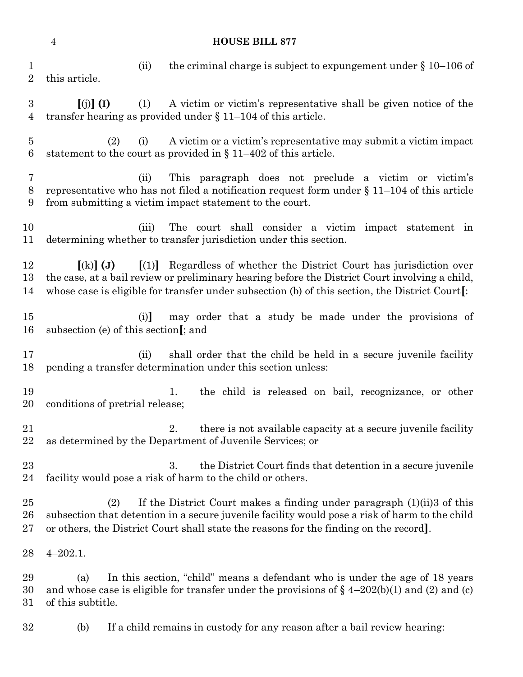|                                    | $\overline{4}$<br><b>HOUSE BILL 877</b> |            |                                                                                                                                                                                                                                                                                         |  |  |  |
|------------------------------------|-----------------------------------------|------------|-----------------------------------------------------------------------------------------------------------------------------------------------------------------------------------------------------------------------------------------------------------------------------------------|--|--|--|
| $\mathbf 1$<br>$\overline{2}$      | this article.                           | (ii)       | the criminal charge is subject to expunde the under $\S 10$ –106 of                                                                                                                                                                                                                     |  |  |  |
| $\boldsymbol{3}$<br>$\overline{4}$ | $\left[\binom{n}{2} \right]$ (I)        | (1)        | A victim or victim's representative shall be given notice of the<br>transfer hearing as provided under $\S 11-104$ of this article.                                                                                                                                                     |  |  |  |
| $\overline{5}$<br>$\,6$            |                                         | (2)<br>(i) | A victim or a victim's representative may submit a victim impact<br>statement to the court as provided in $\S 11-402$ of this article.                                                                                                                                                  |  |  |  |
| 7<br>$8\,$<br>9                    |                                         | (ii)       | This paragraph does not preclude a victim or victim's<br>representative who has not filed a notification request form under $\S 11-104$ of this article<br>from submitting a victim impact statement to the court.                                                                      |  |  |  |
| 10<br>11                           |                                         | (iii)      | The court shall consider a victim impact statement in<br>determining whether to transfer jurisdiction under this section.                                                                                                                                                               |  |  |  |
| 12<br>13<br>14                     | $\left[ \mathrm{(k)}\right]$ (J)        |            | $\left[ (1) \right]$ Regardless of whether the District Court has jurisdiction over<br>the case, at a bail review or preliminary hearing before the District Court involving a child,<br>whose case is eligible for transfer under subsection (b) of this section, the District Court[: |  |  |  |
| 15<br>16                           | subsection (e) of this section [; and   | (i)        | may order that a study be made under the provisions of                                                                                                                                                                                                                                  |  |  |  |
| 17<br>18                           |                                         | (ii)       | shall order that the child be held in a secure juvenile facility<br>pending a transfer determination under this section unless:                                                                                                                                                         |  |  |  |
| 19<br>20                           | conditions of pretrial release;         |            | the child is released on bail, recognizance, or other<br>1.                                                                                                                                                                                                                             |  |  |  |
| 21<br>22                           |                                         |            | there is not available capacity at a secure juvenile facility<br>2.<br>as determined by the Department of Juvenile Services; or                                                                                                                                                         |  |  |  |
| 23<br>24                           |                                         |            | 3.<br>the District Court finds that detention in a secure juvenile<br>facility would pose a risk of harm to the child or others.                                                                                                                                                        |  |  |  |
| 25<br>26<br>27                     |                                         | (2)        | If the District Court makes a finding under paragraph $(1)(ii)$ of this<br>subsection that detention in a secure juvenile facility would pose a risk of harm to the child<br>or others, the District Court shall state the reasons for the finding on the record.                       |  |  |  |
| 28                                 | $4 - 202.1.$                            |            |                                                                                                                                                                                                                                                                                         |  |  |  |
| 29<br>30<br>31                     | (a)<br>of this subtitle.                |            | In this section, "child" means a defendant who is under the age of 18 years<br>and whose case is eligible for transfer under the provisions of $\S$ 4-202(b)(1) and (2) and (c)                                                                                                         |  |  |  |
| 32                                 | (b)                                     |            | If a child remains in custody for any reason after a bail review hearing:                                                                                                                                                                                                               |  |  |  |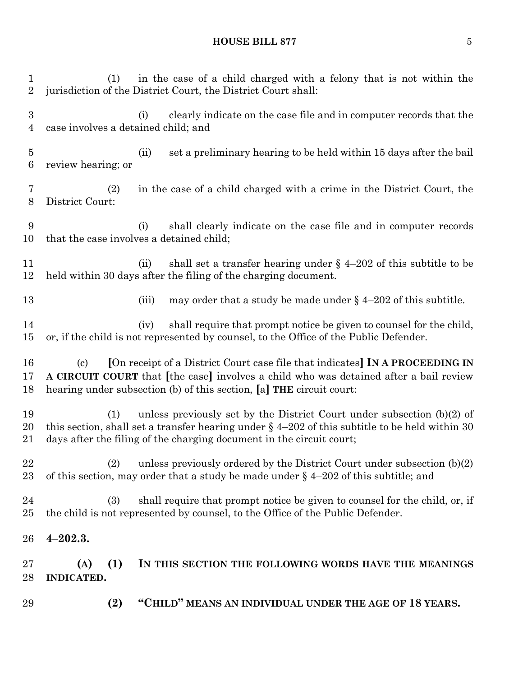# **HOUSE BILL 877** 5

| 29                             | (2)                                                                                                                                         |       | "CHILD" MEANS AN INDIVIDUAL UNDER THE AGE OF 18 YEARS.                                                                                                                                                                                                |  |
|--------------------------------|---------------------------------------------------------------------------------------------------------------------------------------------|-------|-------------------------------------------------------------------------------------------------------------------------------------------------------------------------------------------------------------------------------------------------------|--|
| $27\,$<br>28                   | (1)<br>(A)<br><b>INDICATED.</b>                                                                                                             |       | IN THIS SECTION THE FOLLOWING WORDS HAVE THE MEANINGS                                                                                                                                                                                                 |  |
| 26                             | $4 - 202.3.$                                                                                                                                |       |                                                                                                                                                                                                                                                       |  |
| 24<br>$25\,$                   | (3)                                                                                                                                         |       | shall require that prompt notice be given to counsel for the child, or, if<br>the child is not represented by counsel, to the Office of the Public Defender.                                                                                          |  |
| 22<br>23                       | (2)                                                                                                                                         |       | unless previously ordered by the District Court under subsection $(b)(2)$<br>of this section, may order that a study be made under $\S$ 4-202 of this subtitle; and                                                                                   |  |
| 19<br>20<br>$21\,$             | (1)                                                                                                                                         |       | unless previously set by the District Court under subsection $(b)(2)$ of<br>this section, shall set a transfer hearing under $\S$ 4-202 of this subtitle to be held within 30<br>days after the filing of the charging document in the circuit court; |  |
| 16<br>17<br>18                 | $\left( \mathrm{c}\right)$                                                                                                                  |       | [On receipt of a District Court case file that indicates] IN A PROCEEDING IN<br>A CIRCUIT COURT that [the case] involves a child who was detained after a bail review<br>hearing under subsection (b) of this section, [a] THE circuit court:         |  |
| 14<br>15                       |                                                                                                                                             | (iv)  | shall require that prompt notice be given to counsel for the child,<br>or, if the child is not represented by counsel, to the Office of the Public Defender.                                                                                          |  |
| 13                             |                                                                                                                                             | (iii) | may order that a study be made under $\S$ 4-202 of this subtitle.                                                                                                                                                                                     |  |
| 11<br>12                       |                                                                                                                                             | (ii)  | shall set a transfer hearing under $\S$ 4-202 of this subtitle to be<br>held within 30 days after the filing of the charging document.                                                                                                                |  |
| 9<br>10                        | that the case involves a detained child;                                                                                                    | (i)   | shall clearly indicate on the case file and in computer records                                                                                                                                                                                       |  |
| 7<br>8                         | (2)<br>District Court:                                                                                                                      |       | in the case of a child charged with a crime in the District Court, the                                                                                                                                                                                |  |
| $\overline{5}$<br>$\,6$        | review hearing; or                                                                                                                          | (ii)  | set a preliminary hearing to be held within 15 days after the bail                                                                                                                                                                                    |  |
| $\boldsymbol{3}$<br>4          | case involves a detained child; and                                                                                                         | (i)   | clearly indicate on the case file and in computer records that the                                                                                                                                                                                    |  |
| $\mathbf{1}$<br>$\overline{2}$ | in the case of a child charged with a felony that is not within the<br>(1)<br>jurisdiction of the District Court, the District Court shall: |       |                                                                                                                                                                                                                                                       |  |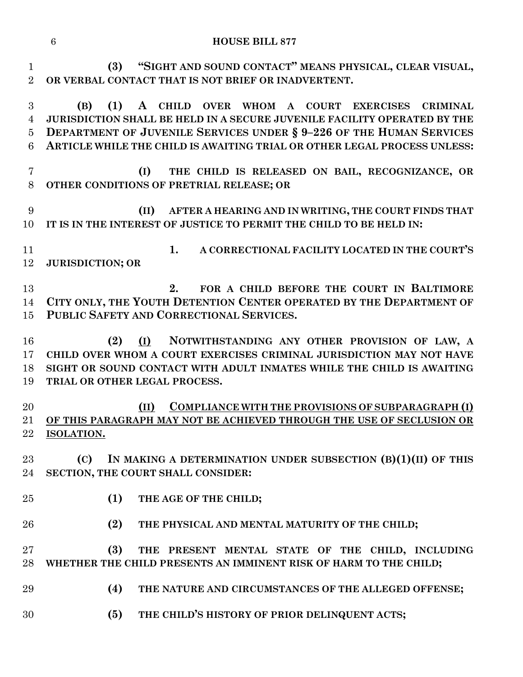| <b>HOUSE BILL 877</b> |
|-----------------------|
|                       |

 **(3) "SIGHT AND SOUND CONTACT" MEANS PHYSICAL, CLEAR VISUAL, OR VERBAL CONTACT THAT IS NOT BRIEF OR INADVERTENT.**

 **(B) (1) A CHILD OVER WHOM A COURT EXERCISES CRIMINAL JURISDICTION SHALL BE HELD IN A SECURE JUVENILE FACILITY OPERATED BY THE DEPARTMENT OF JUVENILE SERVICES UNDER § 9–226 OF THE HUMAN SERVICES ARTICLE WHILE THE CHILD IS AWAITING TRIAL OR OTHER LEGAL PROCESS UNLESS:**

- **(I) THE CHILD IS RELEASED ON BAIL, RECOGNIZANCE, OR OTHER CONDITIONS OF PRETRIAL RELEASE; OR**
- **(II) AFTER A HEARING AND IN WRITING, THE COURT FINDS THAT IT IS IN THE INTEREST OF JUSTICE TO PERMIT THE CHILD TO BE HELD IN:**
- **1. A CORRECTIONAL FACILITY LOCATED IN THE COURT'S JURISDICTION; OR**

 **2. FOR A CHILD BEFORE THE COURT IN BALTIMORE CITY ONLY, THE YOUTH DETENTION CENTER OPERATED BY THE DEPARTMENT OF PUBLIC SAFETY AND CORRECTIONAL SERVICES.**

 **(2) (I) NOTWITHSTANDING ANY OTHER PROVISION OF LAW, A CHILD OVER WHOM A COURT EXERCISES CRIMINAL JURISDICTION MAY NOT HAVE SIGHT OR SOUND CONTACT WITH ADULT INMATES WHILE THE CHILD IS AWAITING TRIAL OR OTHER LEGAL PROCESS.**

 **(II) COMPLIANCE WITH THE PROVISIONS OF SUBPARAGRAPH (I) OF THIS PARAGRAPH MAY NOT BE ACHIEVED THROUGH THE USE OF SECLUSION OR ISOLATION.**

 **(C) IN MAKING A DETERMINATION UNDER SUBSECTION (B)(1)(II) OF THIS SECTION, THE COURT SHALL CONSIDER:**

- 
- **(1) THE AGE OF THE CHILD;**
- **(2) THE PHYSICAL AND MENTAL MATURITY OF THE CHILD;**

 **(3) THE PRESENT MENTAL STATE OF THE CHILD, INCLUDING WHETHER THE CHILD PRESENTS AN IMMINENT RISK OF HARM TO THE CHILD;**

- **(4) THE NATURE AND CIRCUMSTANCES OF THE ALLEGED OFFENSE;**
- **(5) THE CHILD'S HISTORY OF PRIOR DELINQUENT ACTS;**